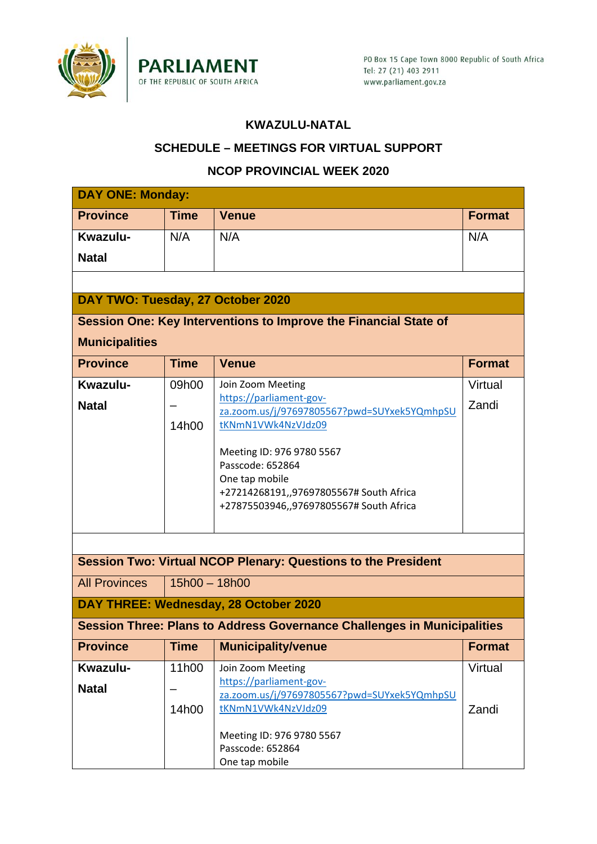

### **KWAZULU-NATAL**

### **SCHEDULE – MEETINGS FOR VIRTUAL SUPPORT**

### **NCOP PROVINCIAL WEEK 2020**

| <b>DAY ONE: Monday:</b>           |                 |                                                                                |               |  |  |  |  |  |
|-----------------------------------|-----------------|--------------------------------------------------------------------------------|---------------|--|--|--|--|--|
| <b>Province</b>                   | <b>Time</b>     | <b>Venue</b>                                                                   | <b>Format</b> |  |  |  |  |  |
| Kwazulu-                          | N/A             | N/A                                                                            | N/A           |  |  |  |  |  |
| <b>Natal</b>                      |                 |                                                                                |               |  |  |  |  |  |
|                                   |                 |                                                                                |               |  |  |  |  |  |
| DAY TWO: Tuesday, 27 October 2020 |                 |                                                                                |               |  |  |  |  |  |
|                                   |                 |                                                                                |               |  |  |  |  |  |
|                                   |                 | Session One: Key Interventions to Improve the Financial State of               |               |  |  |  |  |  |
| <b>Municipalities</b>             |                 |                                                                                |               |  |  |  |  |  |
| <b>Province</b>                   | <b>Time</b>     | <b>Venue</b>                                                                   | <b>Format</b> |  |  |  |  |  |
| Kwazulu-                          | 09h00           | Join Zoom Meeting                                                              | Virtual       |  |  |  |  |  |
| <b>Natal</b>                      |                 | https://parliament-gov-<br>za.zoom.us/j/97697805567?pwd=SUYxek5YQmhpSU         | Zandi         |  |  |  |  |  |
|                                   | 14h00           | tKNmN1VWk4NzVJdz09                                                             |               |  |  |  |  |  |
|                                   |                 |                                                                                |               |  |  |  |  |  |
|                                   |                 | Meeting ID: 976 9780 5567<br>Passcode: 652864                                  |               |  |  |  |  |  |
|                                   |                 | One tap mobile                                                                 |               |  |  |  |  |  |
|                                   |                 | +27214268191,,97697805567# South Africa                                        |               |  |  |  |  |  |
|                                   |                 | +27875503946,,97697805567# South Africa                                        |               |  |  |  |  |  |
|                                   |                 |                                                                                |               |  |  |  |  |  |
|                                   |                 |                                                                                |               |  |  |  |  |  |
|                                   |                 | <b>Session Two: Virtual NCOP Plenary: Questions to the President</b>           |               |  |  |  |  |  |
| <b>All Provinces</b>              | $15h00 - 18h00$ |                                                                                |               |  |  |  |  |  |
|                                   |                 | DAY THREE: Wednesday, 28 October 2020                                          |               |  |  |  |  |  |
|                                   |                 | <b>Session Three: Plans to Address Governance Challenges in Municipalities</b> |               |  |  |  |  |  |
| <b>Province</b>                   | <b>Time</b>     | <b>Municipality/venue</b>                                                      | <b>Format</b> |  |  |  |  |  |
| Kwazulu-                          | 11h00           | Join Zoom Meeting                                                              | Virtual       |  |  |  |  |  |
|                                   |                 | https://parliament-gov-                                                        |               |  |  |  |  |  |
| <b>Natal</b>                      |                 | za.zoom.us/j/97697805567?pwd=SUYxek5YQmhpSU                                    |               |  |  |  |  |  |
|                                   | 14h00           | tKNmN1VWk4NzVJdz09                                                             | Zandi         |  |  |  |  |  |
|                                   |                 | Meeting ID: 976 9780 5567                                                      |               |  |  |  |  |  |
|                                   |                 | Passcode: 652864                                                               |               |  |  |  |  |  |
|                                   |                 | One tap mobile                                                                 |               |  |  |  |  |  |